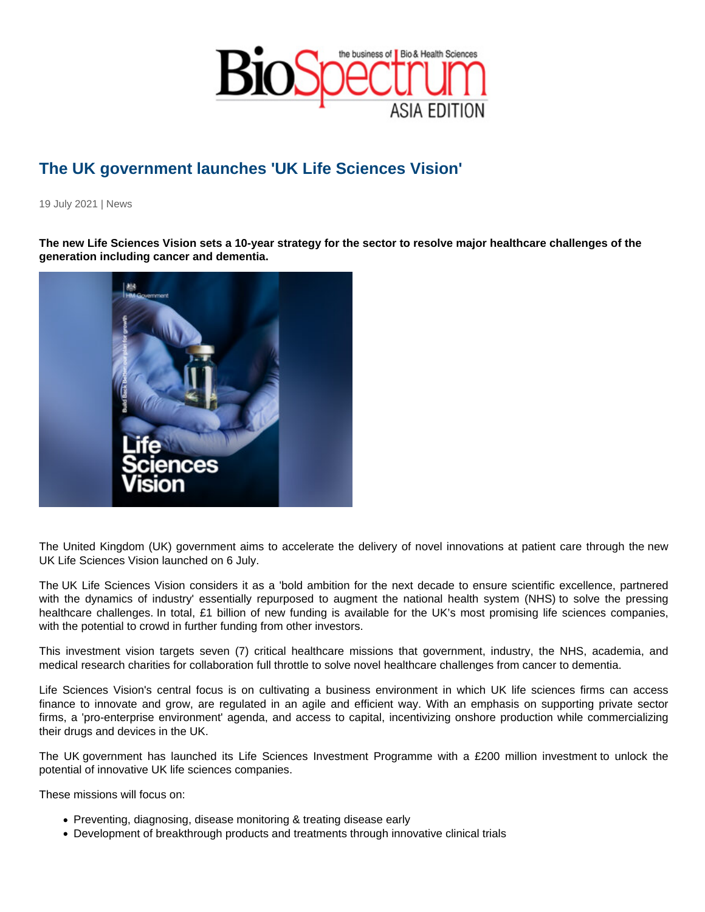## The UK government launches 'UK Life Sciences Vision'

19 July 2021 | News

The new Life Sciences Vision sets a 10-year strategy for the sector to resolve major healthcare challenges of the generation including cancer and dementia.

The United Kingdom (UK) government aims to accelerate the delivery of novel innovations at patient care through the new UK Life Sciences Vision launched on 6 July.

The UK Life Sciences Vision considers it as a 'bold ambition for the next decade to ensure scientific excellence, partnered with the dynamics of industry' essentially repurposed to augment the national health system (NHS) to solve the pressing healthcare challenges. In total, £1 billion of new funding is available for the UK's most promising life sciences companies, with the potential to crowd in further funding from other investors.

This investment vision targets seven (7) critical healthcare missions that government, industry, the NHS, academia, and medical research charities for collaboration full throttle to solve novel healthcare challenges from cancer to dementia.

Life Sciences Vision's central focus is on cultivating a business environment in which UK life sciences firms can access finance to innovate and grow, are regulated in an agile and efficient way. With an emphasis on supporting private sector firms, a 'pro-enterprise environment' agenda, and access to capital, incentivizing onshore production while commercializing their drugs and devices in the UK.

The UK government has launched its Life Sciences Investment Programme with a £200 million investment to unlock the potential of innovative UK life sciences companies.

These missions will focus on:

- Preventing, diagnosing, disease monitoring & treating disease early
- Development of breakthrough products and treatments through innovative clinical trials